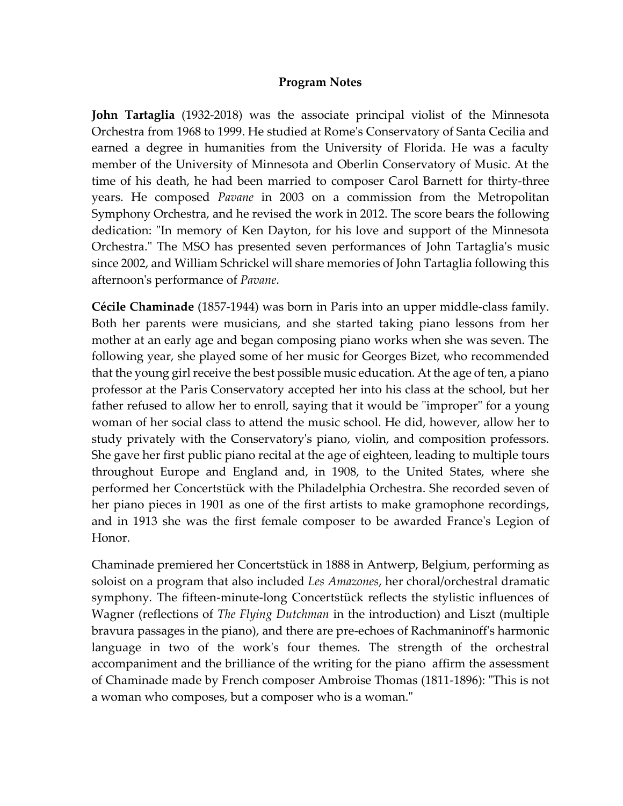## **Program Notes**

**John Tartaglia** (1932-2018) was the associate principal violist of the Minnesota Orchestra from 1968 to 1999. He studied at Rome's Conservatory of Santa Cecilia and earned a degree in humanities from the University of Florida. He was a faculty member of the University of Minnesota and Oberlin Conservatory of Music. At the time of his death, he had been married to composer Carol Barnett for thirty-three years. He composed *Pavane* in 2003 on a commission from the Metropolitan Symphony Orchestra, and he revised the work in 2012. The score bears the following dedication: "In memory of Ken Dayton, for his love and support of the Minnesota Orchestra." The MSO has presented seven performances of John Tartaglia's music since 2002, and William Schrickel will share memories of John Tartaglia following this afternoon's performance of *Pavane*.

**Cécile Chaminade** (1857-1944) was born in Paris into an upper middle-class family. Both her parents were musicians, and she started taking piano lessons from her mother at an early age and began composing piano works when she was seven. The following year, she played some of her music for Georges Bizet, who recommended that the young girl receive the best possible music education. At the age of ten, a piano professor at the Paris Conservatory accepted her into his class at the school, but her father refused to allow her to enroll, saying that it would be "improper" for a young woman of her social class to attend the music school. He did, however, allow her to study privately with the Conservatory's piano, violin, and composition professors. She gave her first public piano recital at the age of eighteen, leading to multiple tours throughout Europe and England and, in 1908, to the United States, where she performed her Concertstück with the Philadelphia Orchestra. She recorded seven of her piano pieces in 1901 as one of the first artists to make gramophone recordings, and in 1913 she was the first female composer to be awarded France's Legion of Honor.

Chaminade premiered her Concertstück in 1888 in Antwerp, Belgium, performing as soloist on a program that also included *Les Amazones*, her choral/orchestral dramatic symphony*.* The fifteen-minute-long Concertstück reflects the stylistic influences of Wagner (reflections of *The Flying Dutchman* in the introduction) and Liszt (multiple bravura passages in the piano), and there are pre-echoes of Rachmaninoff's harmonic language in two of the work's four themes. The strength of the orchestral accompaniment and the brilliance of the writing for the piano affirm the assessment of Chaminade made by French composer Ambroise Thomas (1811-1896): "This is not a woman who composes, but a composer who is a woman."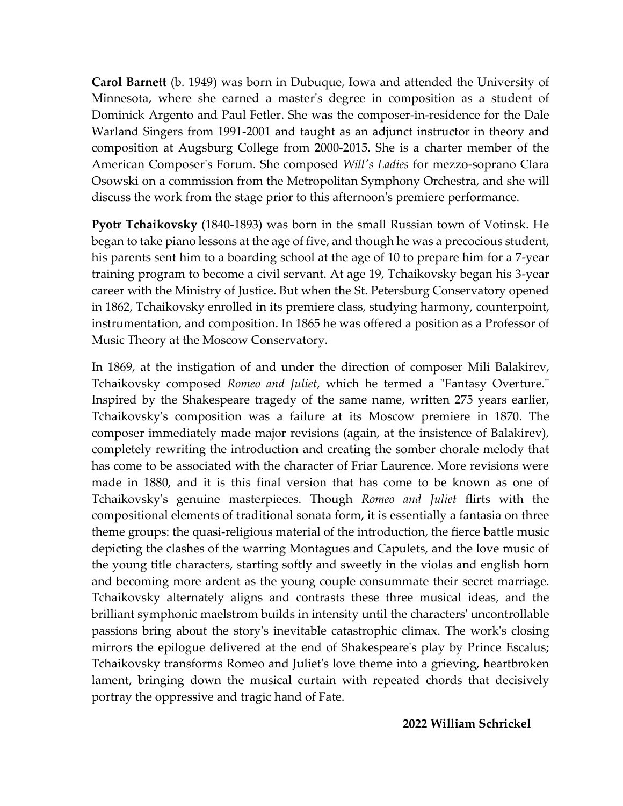**Carol Barnett** (b. 1949) was born in Dubuque, Iowa and attended the University of Minnesota, where she earned a master's degree in composition as a student of Dominick Argento and Paul Fetler. She was the composer-in-residence for the Dale Warland Singers from 1991-2001 and taught as an adjunct instructor in theory and composition at Augsburg College from 2000-2015. She is a charter member of the American Composer's Forum. She composed *Will's Ladies* for mezzo-soprano Clara Osowski on a commission from the Metropolitan Symphony Orchestra, and she will discuss the work from the stage prior to this afternoon's premiere performance.

**Pyotr Tchaikovsky** (1840-1893) was born in the small Russian town of Votinsk. He began to take piano lessons at the age of five, and though he was a precocious student, his parents sent him to a boarding school at the age of 10 to prepare him for a 7-year training program to become a civil servant. At age 19, Tchaikovsky began his 3-year career with the Ministry of Justice. But when the St. Petersburg Conservatory opened in 1862, Tchaikovsky enrolled in its premiere class, studying harmony, counterpoint, instrumentation, and composition. In 1865 he was offered a position as a Professor of Music Theory at the Moscow Conservatory.

In 1869, at the instigation of and under the direction of composer Mili Balakirev, Tchaikovsky composed *Romeo and Juliet*, which he termed a "Fantasy Overture." Inspired by the Shakespeare tragedy of the same name, written 275 years earlier, Tchaikovsky's composition was a failure at its Moscow premiere in 1870. The composer immediately made major revisions (again, at the insistence of Balakirev), completely rewriting the introduction and creating the somber chorale melody that has come to be associated with the character of Friar Laurence. More revisions were made in 1880, and it is this final version that has come to be known as one of Tchaikovsky's genuine masterpieces. Though *Romeo and Juliet* flirts with the compositional elements of traditional sonata form, it is essentially a fantasia on three theme groups: the quasi-religious material of the introduction, the fierce battle music depicting the clashes of the warring Montagues and Capulets, and the love music of the young title characters, starting softly and sweetly in the violas and english horn and becoming more ardent as the young couple consummate their secret marriage. Tchaikovsky alternately aligns and contrasts these three musical ideas, and the brilliant symphonic maelstrom builds in intensity until the characters' uncontrollable passions bring about the story's inevitable catastrophic climax. The work's closing mirrors the epilogue delivered at the end of Shakespeare's play by Prince Escalus; Tchaikovsky transforms Romeo and Juliet's love theme into a grieving, heartbroken lament, bringing down the musical curtain with repeated chords that decisively portray the oppressive and tragic hand of Fate.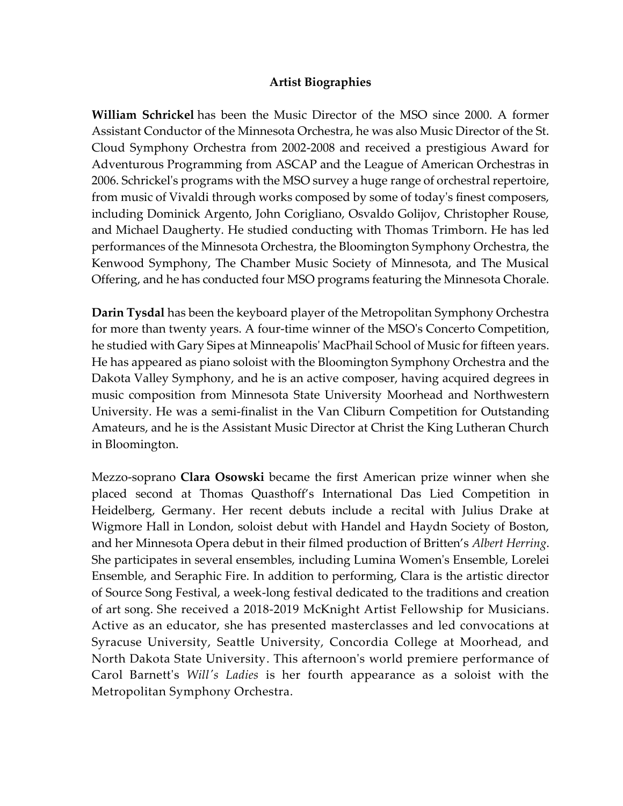## **Artist Biographies**

**William Schrickel** has been the Music Director of the MSO since 2000. A former Assistant Conductor of the Minnesota Orchestra, he was also Music Director of the St. Cloud Symphony Orchestra from 2002-2008 and received a prestigious Award for Adventurous Programming from ASCAP and the League of American Orchestras in 2006. Schrickel's programs with the MSO survey a huge range of orchestral repertoire, from music of Vivaldi through works composed by some of today's finest composers, including Dominick Argento, John Corigliano, Osvaldo Golijov, Christopher Rouse, and Michael Daugherty. He studied conducting with Thomas Trimborn. He has led performances of the Minnesota Orchestra, the Bloomington Symphony Orchestra, the Kenwood Symphony, The Chamber Music Society of Minnesota, and The Musical Offering, and he has conducted four MSO programs featuring the Minnesota Chorale.

**Darin Tysdal** has been the keyboard player of the Metropolitan Symphony Orchestra for more than twenty years. A four-time winner of the MSO's Concerto Competition, he studied with Gary Sipes at Minneapolis' MacPhail School of Music for fifteen years. He has appeared as piano soloist with the Bloomington Symphony Orchestra and the Dakota Valley Symphony, and he is an active composer, having acquired degrees in music composition from Minnesota State University Moorhead and Northwestern University. He was a semi-finalist in the Van Cliburn Competition for Outstanding Amateurs, and he is the Assistant Music Director at Christ the King Lutheran Church in Bloomington.

Mezzo-soprano **Clara Osowski** became the first American prize winner when she placed second at Thomas Quasthoff's International Das Lied Competition in Heidelberg, Germany. Her recent debuts include a recital with Julius Drake at Wigmore Hall in London, soloist debut with Handel and Haydn Society of Boston, and her Minnesota Opera debut in their filmed production of Britten's *Albert Herring*. She participates in several ensembles, including Lumina Women's Ensemble, Lorelei Ensemble, and Seraphic Fire. In addition to performing, Clara is the artistic director of Source Song Festival, a week-long festival dedicated to the traditions and creation of art song. She received a 2018-2019 McKnight Artist Fellowship for Musicians. Active as an educator, she has presented masterclasses and led convocations at Syracuse University, Seattle University, Concordia College at Moorhead, and North Dakota State University. This afternoon's world premiere performance of Carol Barnett's *Will's Ladies* is her fourth appearance as a soloist with the Metropolitan Symphony Orchestra.